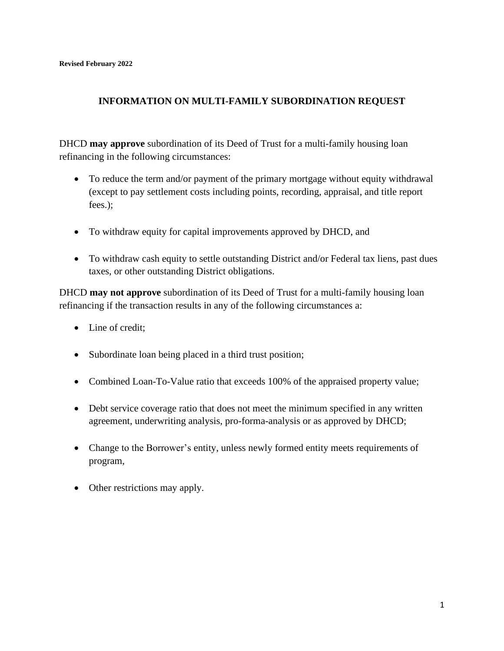## **INFORMATION ON MULTI-FAMILY SUBORDINATION REQUEST**

DHCD **may approve** subordination of its Deed of Trust for a multi-family housing loan refinancing in the following circumstances:

- To reduce the term and/or payment of the primary mortgage without equity withdrawal (except to pay settlement costs including points, recording, appraisal, and title report fees.);
- To withdraw equity for capital improvements approved by DHCD, and
- To withdraw cash equity to settle outstanding District and/or Federal tax liens, past dues taxes, or other outstanding District obligations.

DHCD **may not approve** subordination of its Deed of Trust for a multi-family housing loan refinancing if the transaction results in any of the following circumstances a:

- Line of credit:
- Subordinate loan being placed in a third trust position;
- Combined Loan-To-Value ratio that exceeds 100% of the appraised property value;
- Debt service coverage ratio that does not meet the minimum specified in any written agreement, underwriting analysis, pro-forma-analysis or as approved by DHCD;
- Change to the Borrower's entity, unless newly formed entity meets requirements of program,
- Other restrictions may apply.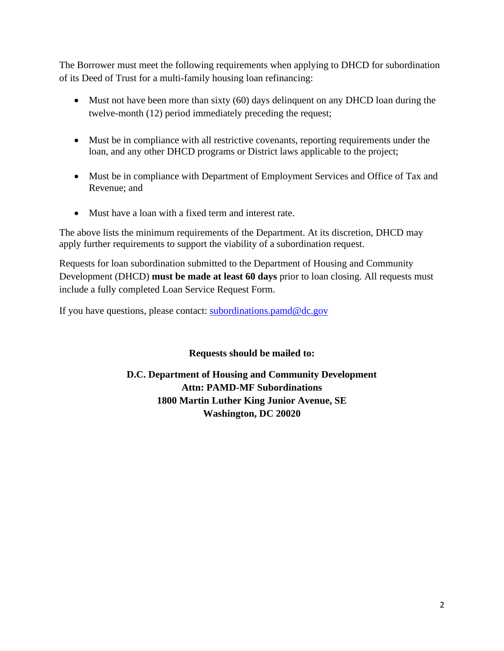The Borrower must meet the following requirements when applying to DHCD for subordination of its Deed of Trust for a multi-family housing loan refinancing:

- Must not have been more than sixty (60) days delinguent on any DHCD loan during the twelve-month (12) period immediately preceding the request;
- Must be in compliance with all restrictive covenants, reporting requirements under the loan, and any other DHCD programs or District laws applicable to the project;
- Must be in compliance with Department of Employment Services and Office of Tax and Revenue; and
- Must have a loan with a fixed term and interest rate.

The above lists the minimum requirements of the Department. At its discretion, DHCD may apply further requirements to support the viability of a subordination request.

Requests for loan subordination submitted to the Department of Housing and Community Development (DHCD) **must be made at least 60 days** prior to loan closing. All requests must include a fully completed Loan Service Request Form.

If you have questions, please contact: [subordinations.pamd@dc.gov](https://dcgovict-my.sharepoint.com/personal/barrie_daneker_dc_gov/Documents/Documents/AI/subordinations.pamd@dc.gov)

**Requests should be mailed to:**

**D.C. Department of Housing and Community Development Attn: PAMD-MF Subordinations 1800 Martin Luther King Junior Avenue, SE Washington, DC 20020**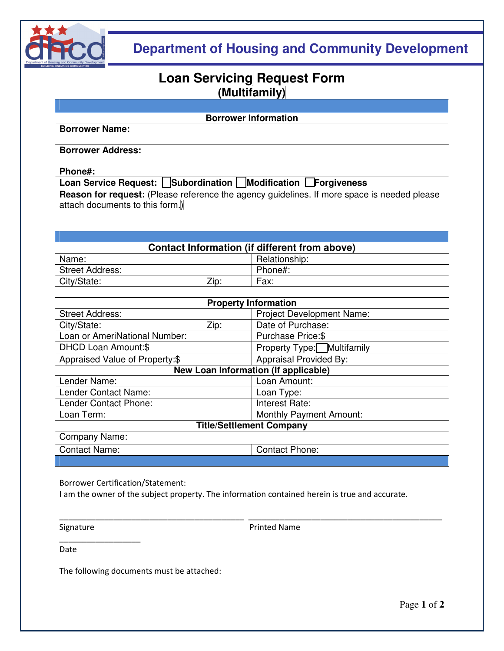

## **Department of Housing and Community Development**

## **Loan Servicing Request Form (Multifamily)**

| <b>Borrower Information</b><br><b>Borrower Name:</b><br><b>Borrower Address:</b><br>Phone#:<br>Loan Service Request: Subordination   Modification Forgiveness<br>Reason for request: (Please reference the agency guidelines. If more space is needed please<br>attach documents to this form.)<br><b>Contact Information (if different from above)</b><br>Relationship:<br>Name:<br>Phone#:<br><b>Street Address:</b><br>City/State:<br>Zip:<br>Fax:<br><b>Property Information</b><br><b>Project Development Name:</b><br><b>Street Address:</b><br>Date of Purchase:<br>City/State:<br>Zip:<br>Loan or AmeriNational Number:<br>Purchase Price: \$<br><b>DHCD Loan Amount:\$</b><br>Property Type: Multifamily<br>Appraised Value of Property:\$<br>Appraisal Provided By:<br><b>New Loan Information (If applicable)</b><br>Lender Name:<br>Loan Amount:<br>Lender Contact Name:<br>Loan Type:<br>Lender Contact Phone:<br>Interest Rate:<br>Loan Term:<br><b>Monthly Payment Amount:</b><br><b>Title/Settlement Company</b><br>Company Name:<br><b>Contact Name:</b><br><b>Contact Phone:</b> |  |  |  |  |  |
|----------------------------------------------------------------------------------------------------------------------------------------------------------------------------------------------------------------------------------------------------------------------------------------------------------------------------------------------------------------------------------------------------------------------------------------------------------------------------------------------------------------------------------------------------------------------------------------------------------------------------------------------------------------------------------------------------------------------------------------------------------------------------------------------------------------------------------------------------------------------------------------------------------------------------------------------------------------------------------------------------------------------------------------------------------------------------------------------------|--|--|--|--|--|
|                                                                                                                                                                                                                                                                                                                                                                                                                                                                                                                                                                                                                                                                                                                                                                                                                                                                                                                                                                                                                                                                                                    |  |  |  |  |  |
|                                                                                                                                                                                                                                                                                                                                                                                                                                                                                                                                                                                                                                                                                                                                                                                                                                                                                                                                                                                                                                                                                                    |  |  |  |  |  |
|                                                                                                                                                                                                                                                                                                                                                                                                                                                                                                                                                                                                                                                                                                                                                                                                                                                                                                                                                                                                                                                                                                    |  |  |  |  |  |
|                                                                                                                                                                                                                                                                                                                                                                                                                                                                                                                                                                                                                                                                                                                                                                                                                                                                                                                                                                                                                                                                                                    |  |  |  |  |  |
|                                                                                                                                                                                                                                                                                                                                                                                                                                                                                                                                                                                                                                                                                                                                                                                                                                                                                                                                                                                                                                                                                                    |  |  |  |  |  |
|                                                                                                                                                                                                                                                                                                                                                                                                                                                                                                                                                                                                                                                                                                                                                                                                                                                                                                                                                                                                                                                                                                    |  |  |  |  |  |
|                                                                                                                                                                                                                                                                                                                                                                                                                                                                                                                                                                                                                                                                                                                                                                                                                                                                                                                                                                                                                                                                                                    |  |  |  |  |  |
|                                                                                                                                                                                                                                                                                                                                                                                                                                                                                                                                                                                                                                                                                                                                                                                                                                                                                                                                                                                                                                                                                                    |  |  |  |  |  |
|                                                                                                                                                                                                                                                                                                                                                                                                                                                                                                                                                                                                                                                                                                                                                                                                                                                                                                                                                                                                                                                                                                    |  |  |  |  |  |
|                                                                                                                                                                                                                                                                                                                                                                                                                                                                                                                                                                                                                                                                                                                                                                                                                                                                                                                                                                                                                                                                                                    |  |  |  |  |  |
|                                                                                                                                                                                                                                                                                                                                                                                                                                                                                                                                                                                                                                                                                                                                                                                                                                                                                                                                                                                                                                                                                                    |  |  |  |  |  |
|                                                                                                                                                                                                                                                                                                                                                                                                                                                                                                                                                                                                                                                                                                                                                                                                                                                                                                                                                                                                                                                                                                    |  |  |  |  |  |
|                                                                                                                                                                                                                                                                                                                                                                                                                                                                                                                                                                                                                                                                                                                                                                                                                                                                                                                                                                                                                                                                                                    |  |  |  |  |  |
|                                                                                                                                                                                                                                                                                                                                                                                                                                                                                                                                                                                                                                                                                                                                                                                                                                                                                                                                                                                                                                                                                                    |  |  |  |  |  |
|                                                                                                                                                                                                                                                                                                                                                                                                                                                                                                                                                                                                                                                                                                                                                                                                                                                                                                                                                                                                                                                                                                    |  |  |  |  |  |
|                                                                                                                                                                                                                                                                                                                                                                                                                                                                                                                                                                                                                                                                                                                                                                                                                                                                                                                                                                                                                                                                                                    |  |  |  |  |  |
|                                                                                                                                                                                                                                                                                                                                                                                                                                                                                                                                                                                                                                                                                                                                                                                                                                                                                                                                                                                                                                                                                                    |  |  |  |  |  |
|                                                                                                                                                                                                                                                                                                                                                                                                                                                                                                                                                                                                                                                                                                                                                                                                                                                                                                                                                                                                                                                                                                    |  |  |  |  |  |
|                                                                                                                                                                                                                                                                                                                                                                                                                                                                                                                                                                                                                                                                                                                                                                                                                                                                                                                                                                                                                                                                                                    |  |  |  |  |  |
|                                                                                                                                                                                                                                                                                                                                                                                                                                                                                                                                                                                                                                                                                                                                                                                                                                                                                                                                                                                                                                                                                                    |  |  |  |  |  |
|                                                                                                                                                                                                                                                                                                                                                                                                                                                                                                                                                                                                                                                                                                                                                                                                                                                                                                                                                                                                                                                                                                    |  |  |  |  |  |
|                                                                                                                                                                                                                                                                                                                                                                                                                                                                                                                                                                                                                                                                                                                                                                                                                                                                                                                                                                                                                                                                                                    |  |  |  |  |  |
|                                                                                                                                                                                                                                                                                                                                                                                                                                                                                                                                                                                                                                                                                                                                                                                                                                                                                                                                                                                                                                                                                                    |  |  |  |  |  |
|                                                                                                                                                                                                                                                                                                                                                                                                                                                                                                                                                                                                                                                                                                                                                                                                                                                                                                                                                                                                                                                                                                    |  |  |  |  |  |
|                                                                                                                                                                                                                                                                                                                                                                                                                                                                                                                                                                                                                                                                                                                                                                                                                                                                                                                                                                                                                                                                                                    |  |  |  |  |  |

Borrower Certification/Statement:

I am the owner of the subject property. The information contained herein is true and accurate.

\_\_\_\_\_\_\_\_\_\_\_\_\_\_\_\_\_\_\_\_\_\_\_\_\_\_\_\_\_\_\_\_\_\_\_\_\_\_\_\_\_ \_\_\_\_\_\_\_\_\_\_\_\_\_\_\_\_\_\_\_\_\_\_\_\_\_\_\_\_\_\_\_\_\_\_\_\_\_\_\_\_\_\_\_

 $\_$ 

Signature **Printed Name** 

Date

The following documents must be attached: